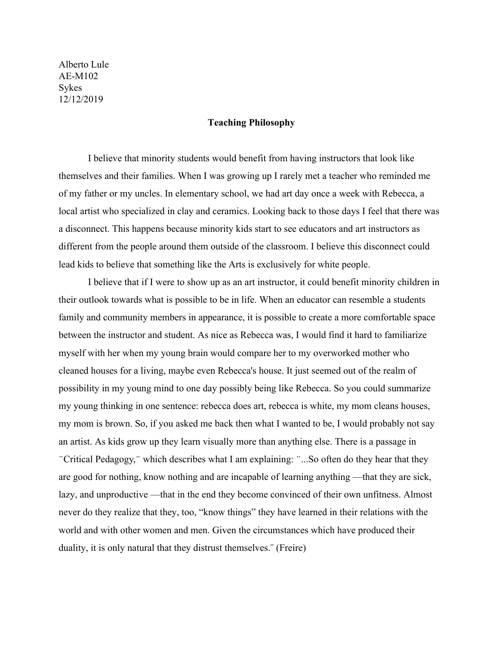Alberto Lule AE-M102 Sykes 12/12/2019

## **Teaching Philosophy**

I believe that minority students would benefit from having instructors that look like themselves and their families. When I was growing up I rarely met a teacher who reminded me of my father or my uncles. In elementary school, we had art day once a week with Rebecca, a local artist who specialized in clay and ceramics. Looking back to those days I feel that there was a disconnect. This happens because minority kids start to see educators and art instructors as different from the people around them outside of the classroom. I believe this disconnect could lead kids to believe that something like the Arts is exclusively for white people.

I believe that if I were to show up as an art instructor, it could benefit minority children in their outlook towards what is possible to be in life. When an educator can resemble a students family and community members in appearance, it is possible to create a more comfortable space between the instructor and student. As nice as Rebecca was, I would find it hard to familiarize myself with her when my young brain would compare her to my overworked mother who cleaned houses for a living, maybe even Rebecca's house. It just seemed out of the realm of possibility in my young mind to one day possibly being like Rebecca. So you could summarize my young thinking in one sentence: rebecca does art, rebecca is white, my mom cleans houses, my mom is brown. So, if you asked me back then what I wanted to be, I would probably not say an artist. As kids grow up they learn visually more than anything else. There is a passage in ̈Critical Pedagogy,̈ which describes what I am explaining: ̈...So often do they hear that they are good for nothing, know nothing and are incapable of learning anything —that they are sick, lazy, and unproductive —that in the end they become convinced of their own unfitness. Almost never do they realize that they, too, "know things" they have learned in their relations with the world and with other women and men. Given the circumstances which have produced their duality, it is only natural that they distrust themselves.¨ (Freire)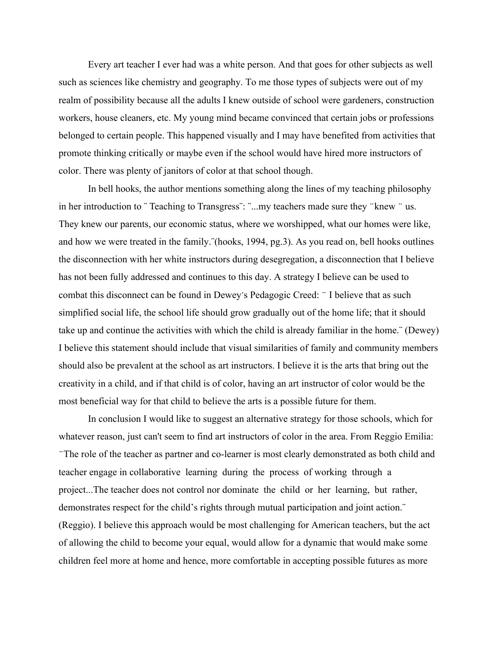Every art teacher I ever had was a white person. And that goes for other subjects as well such as sciences like chemistry and geography. To me those types of subjects were out of my realm of possibility because all the adults I knew outside of school were gardeners, construction workers, house cleaners, etc. My young mind became convinced that certain jobs or professions belonged to certain people. This happened visually and I may have benefited from activities that promote thinking critically or maybe even if the school would have hired more instructors of color. There was plenty of janitors of color at that school though.

In bell hooks, the author mentions something along the lines of my teaching philosophy in her introduction to "Teaching to Transgress": "...my teachers made sure they "knew " us. They knew our parents, our economic status, where we worshipped, what our homes were like, and how we were treated in the family.¨(hooks, 1994, pg.3). As you read on, bell hooks outlines the disconnection with her white instructors during desegregation, a disconnection that I believe has not been fully addressed and continues to this day. A strategy I believe can be used to combat this disconnect can be found in Dewey ́ s Pedagogic Creed: ̈ I believe that as such simplified social life, the school life should grow gradually out of the home life; that it should take up and continue the activities with which the child is already familiar in the home.¨ (Dewey) I believe this statement should include that visual similarities of family and community members should also be prevalent at the school as art instructors. I believe it is the arts that bring out the creativity in a child, and if that child is of color, having an art instructor of color would be the most beneficial way for that child to believe the arts is a possible future for them.

In conclusion I would like to suggest an alternative strategy for those schools, which for whatever reason, just can't seem to find art instructors of color in the area. From Reggio Emilia: ̈The role of the teacher as partner and co-learner is most clearly demonstrated as both child and teacher engage in collaborative learning during the process of working through a project...The teacher does not control nor dominate the child or her learning, but rather, demonstrates respect for the child's rights through mutual participation and joint action.¨ (Reggio). I believe this approach would be most challenging for American teachers, but the act of allowing the child to become your equal, would allow for a dynamic that would make some children feel more at home and hence, more comfortable in accepting possible futures as more